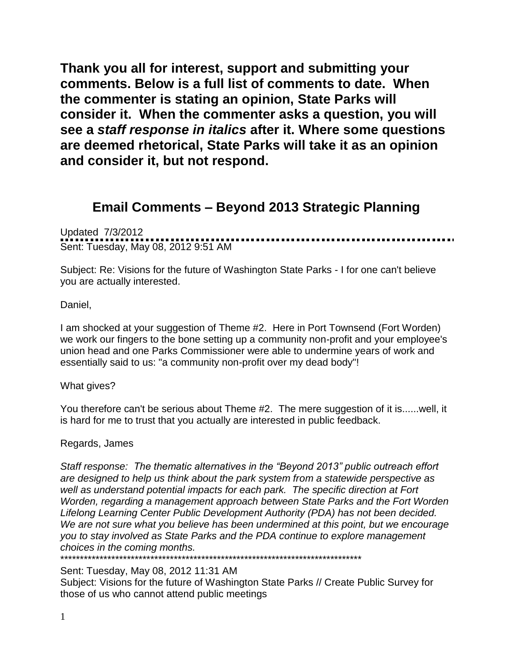**Thank you all for interest, support and submitting your comments. Below is a full list of comments to date. When the commenter is stating an opinion, State Parks will consider it. When the commenter asks a question, you will see a** *staff response in italics* **after it. Where some questions are deemed rhetorical, State Parks will take it as an opinion and consider it, but not respond.** 

## **Email Comments – Beyond 2013 Strategic Planning**

Updated 7/3/2012 Sent: Tuesday, May 08, 2012 9:51 AM

Subject: Re: Visions for the future of Washington State Parks - I for one can't believe you are actually interested.

Daniel,

I am shocked at your suggestion of Theme #2. Here in Port Townsend (Fort Worden) we work our fingers to the bone setting up a community non-profit and your employee's union head and one Parks Commissioner were able to undermine years of work and essentially said to us: "a community non-profit over my dead body"!

What gives?

You therefore can't be serious about Theme #2. The mere suggestion of it is......well, it is hard for me to trust that you actually are interested in public feedback.

Regards, James

*Staff response: The thematic alternatives in the "Beyond 2013" public outreach effort are designed to help us think about the park system from a statewide perspective as well as understand potential impacts for each park. The specific direction at Fort Worden, regarding a management approach between State Parks and the Fort Worden Lifelong Learning Center Public Development Authority (PDA) has not been decided.*  We are not sure what you believe has been undermined at this point, but we encourage *you to stay involved as State Parks and the PDA continue to explore management choices in the coming months.*

\*\*\*\*\*\*\*\*\*\*\*\*\*\*\*\*\*\*\*\*\*\*\*\*\*\*\*\*\*\*\*\*\*\*\*\*\*\*\*\*\*\*\*\*\*\*\*\*\*\*\*\*\*\*\*\*\*\*\*\*\*\*\*\*\*\*\*\*\*\*\*\*\*\*\*\*\*

Sent: Tuesday, May 08, 2012 11:31 AM

Subject: Visions for the future of Washington State Parks // Create Public Survey for those of us who cannot attend public meetings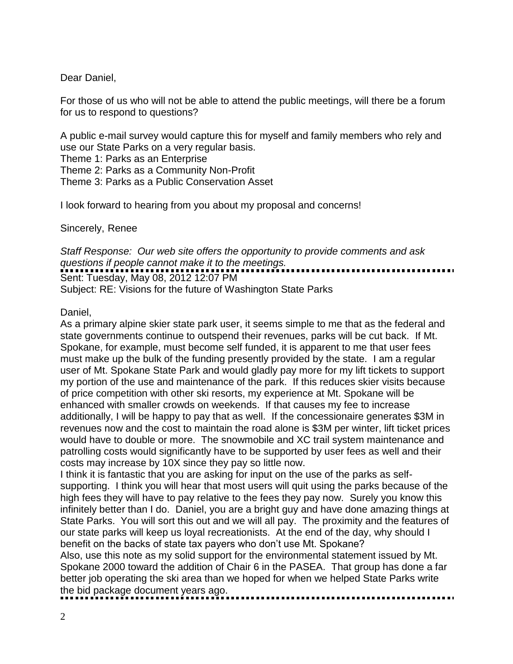Dear Daniel,

For those of us who will not be able to attend the public meetings, will there be a forum for us to respond to questions?

A public e-mail survey would capture this for myself and family members who rely and use our State Parks on a very regular basis.

Theme 1: Parks as an Enterprise

Theme 2: Parks as a Community Non-Profit

Theme 3: Parks as a Public Conservation Asset

I look forward to hearing from you about my proposal and concerns!

Sincerely, Renee

*Staff Response: Our web site offers the opportunity to provide comments and ask questions if people cannot make it to the meetings.*  Sent: Tuesday, May 08, 2012 12:07 PM Subject: RE: Visions for the future of Washington State Parks

Daniel,

As a primary alpine skier state park user, it seems simple to me that as the federal and state governments continue to outspend their revenues, parks will be cut back. If Mt. Spokane, for example, must become self funded, it is apparent to me that user fees must make up the bulk of the funding presently provided by the state. I am a regular user of Mt. Spokane State Park and would gladly pay more for my lift tickets to support my portion of the use and maintenance of the park. If this reduces skier visits because of price competition with other ski resorts, my experience at Mt. Spokane will be enhanced with smaller crowds on weekends. If that causes my fee to increase additionally, I will be happy to pay that as well. If the concessionaire generates \$3M in revenues now and the cost to maintain the road alone is \$3M per winter, lift ticket prices would have to double or more. The snowmobile and XC trail system maintenance and patrolling costs would significantly have to be supported by user fees as well and their costs may increase by 10X since they pay so little now.

I think it is fantastic that you are asking for input on the use of the parks as selfsupporting. I think you will hear that most users will quit using the parks because of the high fees they will have to pay relative to the fees they pay now. Surely you know this infinitely better than I do. Daniel, you are a bright guy and have done amazing things at State Parks. You will sort this out and we will all pay. The proximity and the features of our state parks will keep us loyal recreationists. At the end of the day, why should I benefit on the backs of state tax payers who don't use Mt. Spokane?

Also, use this note as my solid support for the environmental statement issued by Mt. Spokane 2000 toward the addition of Chair 6 in the PASEA. That group has done a far better job operating the ski area than we hoped for when we helped State Parks write the bid package document years ago.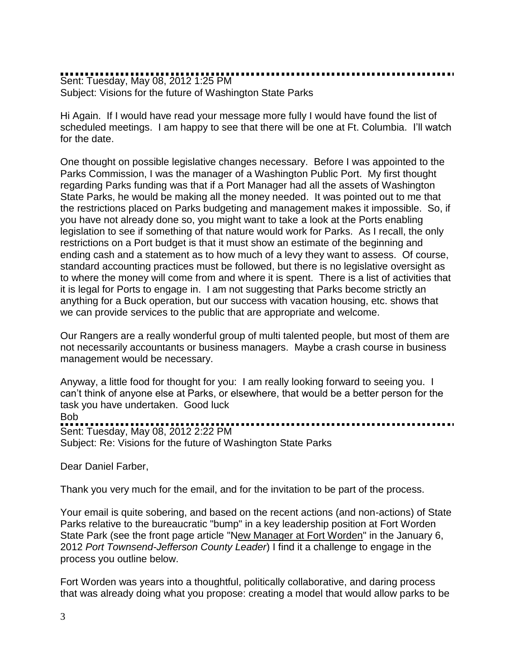Sent: Tuesday, May 08, 2012 1:25 PM Subject: Visions for the future of Washington State Parks

Hi Again. If I would have read your message more fully I would have found the list of scheduled meetings. I am happy to see that there will be one at Ft. Columbia. I'll watch for the date.

One thought on possible legislative changes necessary. Before I was appointed to the Parks Commission, I was the manager of a Washington Public Port. My first thought regarding Parks funding was that if a Port Manager had all the assets of Washington State Parks, he would be making all the money needed. It was pointed out to me that the restrictions placed on Parks budgeting and management makes it impossible. So, if you have not already done so, you might want to take a look at the Ports enabling legislation to see if something of that nature would work for Parks. As I recall, the only restrictions on a Port budget is that it must show an estimate of the beginning and ending cash and a statement as to how much of a levy they want to assess. Of course, standard accounting practices must be followed, but there is no legislative oversight as to where the money will come from and where it is spent. There is a list of activities that it is legal for Ports to engage in. I am not suggesting that Parks become strictly an anything for a Buck operation, but our success with vacation housing, etc. shows that we can provide services to the public that are appropriate and welcome.

Our Rangers are a really wonderful group of multi talented people, but most of them are not necessarily accountants or business managers. Maybe a crash course in business management would be necessary.

Anyway, a little food for thought for you: I am really looking forward to seeing you. I can't think of anyone else at Parks, or elsewhere, that would be a better person for the task you have undertaken. Good luck **Bob** Sent: Tuesday, May 08, 2012 2:22 PM Subject: Re: Visions for the future of Washington State Parks

Dear Daniel Farber,

Thank you very much for the email, and for the invitation to be part of the process.

Your email is quite sobering, and based on the recent actions (and non-actions) of State Parks relative to the bureaucratic "bump" in a key leadership position at Fort Worden State Park (see the front page article "[New Manager at Fort Worden"](http://ptleader.com/main.asp?SectionID=36&SubSectionID=55&ArticleID=30699http://http://ptleader.com/main.asp?SectionID=36&SubSectionID=55&ArticleID=30699) in the January 6, 2012 *Port Townsend-Jefferson County Leader*) I find it a challenge to engage in the process you outline below.

Fort Worden was years into a thoughtful, politically collaborative, and daring process that was already doing what you propose: creating a model that would allow parks to be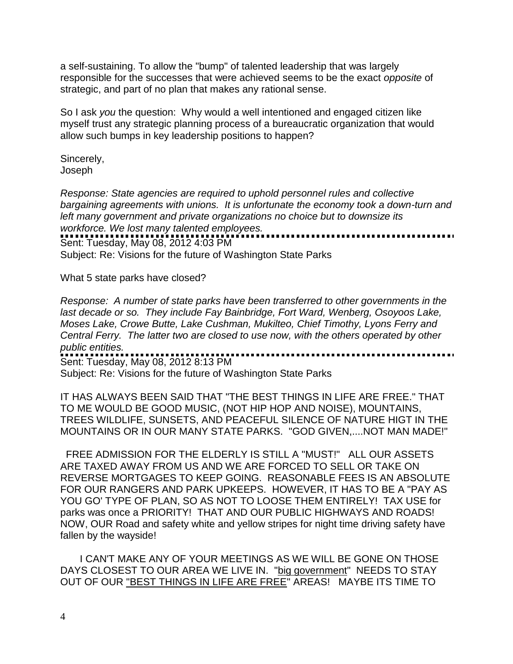a self-sustaining. To allow the "bump" of talented leadership that was largely responsible for the successes that were achieved seems to be the exact *opposite* of strategic, and part of no plan that makes any rational sense.

So I ask *you* the question: Why would a well intentioned and engaged citizen like myself trust any strategic planning process of a bureaucratic organization that would allow such bumps in key leadership positions to happen?

Sincerely, Joseph

*Response: State agencies are required to uphold personnel rules and collective bargaining agreements with unions. It is unfortunate the economy took a down-turn and left many government and private organizations no choice but to downsize its workforce. We lost many talented employees.*  Sent: Tuesday, May 08, 2012 4:03 PM

Subject: Re: Visions for the future of Washington State Parks

What 5 state parks have closed?

*Response: A number of state parks have been transferred to other governments in the last decade or so. They include Fay Bainbridge, Fort Ward, Wenberg, Osoyoos Lake, Moses Lake, Crowe Butte, Lake Cushman, Mukilteo, Chief Timothy, Lyons Ferry and Central Ferry. The latter two are closed to use now, with the others operated by other public entities.*  . . . . . . . . . . . . . . . . . . . Sent: Tuesday, May 08, 2012 8:13 PM

Subject: Re: Visions for the future of Washington State Parks

IT HAS ALWAYS BEEN SAID THAT "THE BEST THINGS IN LIFE ARE FREE." THAT TO ME WOULD BE GOOD MUSIC, (NOT HIP HOP AND NOISE), MOUNTAINS, TREES WILDLIFE, SUNSETS, AND PEACEFUL SILENCE OF NATURE HIGT IN THE MOUNTAINS OR IN OUR MANY STATE PARKS. "GOD GIVEN,....NOT MAN MADE!"

 FREE ADMISSION FOR THE ELDERLY IS STILL A "MUST!" ALL OUR ASSETS ARE TAXED AWAY FROM US AND WE ARE FORCED TO SELL OR TAKE ON REVERSE MORTGAGES TO KEEP GOING. REASONABLE FEES IS AN ABSOLUTE FOR OUR RANGERS AND PARK UPKEEPS. HOWEVER, IT HAS TO BE A "PAY AS YOU GO' TYPE OF PLAN, SO AS NOT TO LOOSE THEM ENTIRELY! TAX USE for parks was once a PRIORITY! THAT AND OUR PUBLIC HIGHWAYS AND ROADS! NOW, OUR Road and safety white and yellow stripes for night time driving safety have fallen by the wayside!

 I CAN'T MAKE ANY OF YOUR MEETINGS AS WE WILL BE GONE ON THOSE DAYS CLOSEST TO OUR AREA WE LIVE IN. "big government" NEEDS TO STAY OUT OF OUR "BEST THINGS IN LIFE ARE FREE" AREAS! MAYBE ITS TIME TO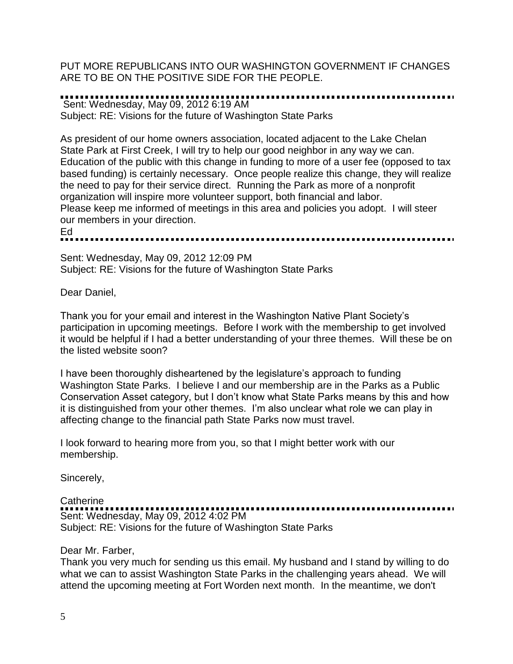PUT MORE REPUBLICANS INTO OUR WASHINGTON GOVERNMENT IF CHANGES ARE TO BE ON THE POSITIVE SIDE FOR THE PEOPLE.

### Sent: Wednesday, May 09, 2012 6:19 AM

Subject: RE: Visions for the future of Washington State Parks

As president of our home owners association, located adjacent to the Lake Chelan State Park at First Creek, I will try to help our good neighbor in any way we can. Education of the public with this change in funding to more of a user fee (opposed to tax based funding) is certainly necessary. Once people realize this change, they will realize the need to pay for their service direct. Running the Park as more of a nonprofit organization will inspire more volunteer support, both financial and labor. Please keep me informed of meetings in this area and policies you adopt. I will steer our members in your direction. Ed 

Sent: Wednesday, May 09, 2012 12:09 PM

Subject: RE: Visions for the future of Washington State Parks

Dear Daniel,

Thank you for your email and interest in the Washington Native Plant Society's participation in upcoming meetings. Before I work with the membership to get involved it would be helpful if I had a better understanding of your three themes. Will these be on the listed website soon?

I have been thoroughly disheartened by the legislature's approach to funding Washington State Parks. I believe I and our membership are in the Parks as a Public Conservation Asset category, but I don't know what State Parks means by this and how it is distinguished from your other themes. I'm also unclear what role we can play in affecting change to the financial path State Parks now must travel.

I look forward to hearing more from you, so that I might better work with our membership.

Sincerely,

### **Catherine** Sent: Wednesday, May 09, 2012 4:02 PM Subject: RE: Visions for the future of Washington State Parks

### Dear Mr. Farber,

Thank you very much for sending us this email. My husband and I stand by willing to do what we can to assist Washington State Parks in the challenging years ahead. We will attend the upcoming meeting at Fort Worden next month. In the meantime, we don't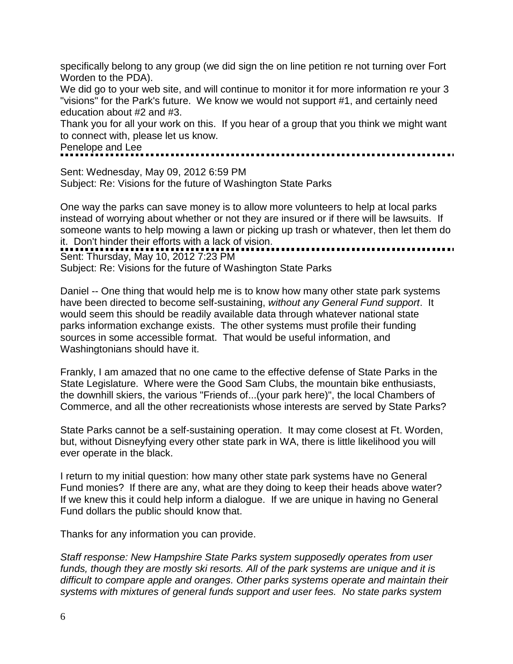specifically belong to any group (we did sign the on line petition re not turning over Fort Worden to the PDA).

We did go to your web site, and will continue to monitor it for more information re your 3 "visions" for the Park's future. We know we would not support #1, and certainly need education about #2 and #3.

Thank you for all your work on this. If you hear of a group that you think we might want to connect with, please let us know.

Penelope and Lee

Sent: Wednesday, May 09, 2012 6:59 PM Subject: Re: Visions for the future of Washington State Parks

One way the parks can save money is to allow more volunteers to help at local parks instead of worrying about whether or not they are insured or if there will be lawsuits. If someone wants to help mowing a lawn or picking up trash or whatever, then let them do someone wants to note with a lack of vision. Sent: Thursday, May 10, 2012 7:23 PM

Subject: Re: Visions for the future of Washington State Parks

Daniel -- One thing that would help me is to know how many other state park systems have been directed to become self-sustaining, *without any General Fund support*. It would seem this should be readily available data through whatever national state parks information exchange exists. The other systems must profile their funding sources in some accessible format. That would be useful information, and Washingtonians should have it.

Frankly, I am amazed that no one came to the effective defense of State Parks in the State Legislature. Where were the Good Sam Clubs, the mountain bike enthusiasts, the downhill skiers, the various "Friends of...(your park here)", the local Chambers of Commerce, and all the other recreationists whose interests are served by State Parks?

State Parks cannot be a self-sustaining operation. It may come closest at Ft. Worden, but, without Disneyfying every other state park in WA, there is little likelihood you will ever operate in the black.

I return to my initial question: how many other state park systems have no General Fund monies? If there are any, what are they doing to keep their heads above water? If we knew this it could help inform a dialogue. If we are unique in having no General Fund dollars the public should know that.

Thanks for any information you can provide.

*Staff response: New Hampshire State Parks system supposedly operates from user funds, though they are mostly ski resorts. All of the park systems are unique and it is difficult to compare apple and oranges. Other parks systems operate and maintain their systems with mixtures of general funds support and user fees. No state parks system*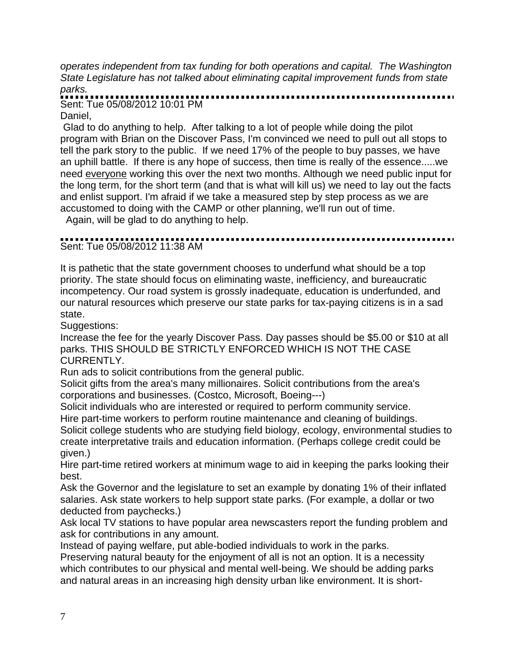*operates independent from tax funding for both operations and capital. The Washington State Legislature has not talked about eliminating capital improvement funds from state parks.* 

Sent: Tue 05/08/2012 10:01 PM

Daniel,

Glad to do anything to help. After talking to a lot of people while doing the pilot program with Brian on the Discover Pass, I'm convinced we need to pull out all stops to tell the park story to the public. If we need 17% of the people to buy passes, we have an uphill battle. If there is any hope of success, then time is really of the essence.....we need everyone working this over the next two months. Although we need public input for the long term, for the short term (and that is what will kill us) we need to lay out the facts and enlist support. I'm afraid if we take a measured step by step process as we are accustomed to doing with the CAMP or other planning, we'll run out of time.

Again, will be glad to do anything to help.

## 

Sent: Tue 05/08/2012 11:38 AM

It is pathetic that the state government chooses to underfund what should be a top priority. The state should focus on eliminating waste, inefficiency, and bureaucratic incompetency. Our road system is grossly inadequate, education is underfunded, and our natural resources which preserve our state parks for tax-paying citizens is in a sad state.

Suggestions:

Increase the fee for the yearly Discover Pass. Day passes should be \$5.00 or \$10 at all parks. THIS SHOULD BE STRICTLY ENFORCED WHICH IS NOT THE CASE CURRENTLY.

Run ads to solicit contributions from the general public.

Solicit gifts from the area's many millionaires. Solicit contributions from the area's corporations and businesses. (Costco, Microsoft, Boeing---)

Solicit individuals who are interested or required to perform community service. Hire part-time workers to perform routine maintenance and cleaning of buildings.

Solicit college students who are studying field biology, ecology, environmental studies to create interpretative trails and education information. (Perhaps college credit could be given.)

Hire part-time retired workers at minimum wage to aid in keeping the parks looking their best.

Ask the Governor and the legislature to set an example by donating 1% of their inflated salaries. Ask state workers to help support state parks. (For example, a dollar or two deducted from paychecks.)

Ask local TV stations to have popular area newscasters report the funding problem and ask for contributions in any amount.

Instead of paying welfare, put able-bodied individuals to work in the parks.

Preserving natural beauty for the enjoyment of all is not an option. It is a necessity which contributes to our physical and mental well-being. We should be adding parks and natural areas in an increasing high density urban like environment. It is short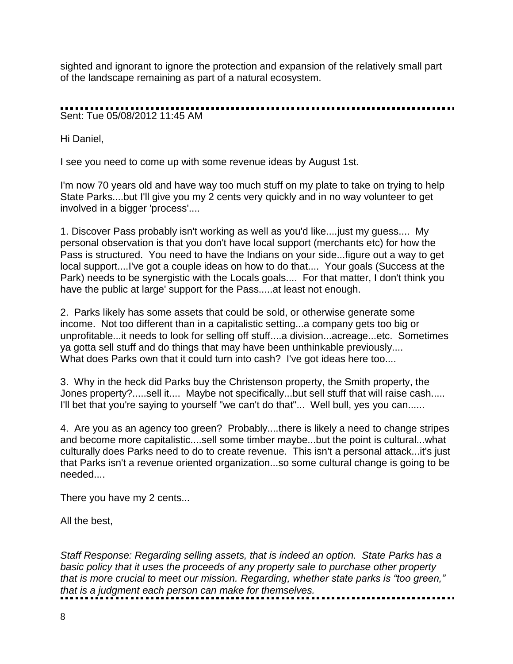sighted and ignorant to ignore the protection and expansion of the relatively small part of the landscape remaining as part of a natural ecosystem.

Sent: Tue 05/08/2012 11:45 AM

Hi Daniel,

I see you need to come up with some revenue ideas by August 1st.

I'm now 70 years old and have way too much stuff on my plate to take on trying to help State Parks....but I'll give you my 2 cents very quickly and in no way volunteer to get involved in a bigger 'process'....

1. Discover Pass probably isn't working as well as you'd like....just my guess.... My personal observation is that you don't have local support (merchants etc) for how the Pass is structured. You need to have the Indians on your side...figure out a way to get local support....I've got a couple ideas on how to do that.... Your goals (Success at the Park) needs to be synergistic with the Locals goals.... For that matter, I don't think you have the public at large' support for the Pass.....at least not enough.

2. Parks likely has some assets that could be sold, or otherwise generate some income. Not too different than in a capitalistic setting...a company gets too big or unprofitable...it needs to look for selling off stuff....a division...acreage...etc. Sometimes ya gotta sell stuff and do things that may have been unthinkable previously.... What does Parks own that it could turn into cash? I've got ideas here too....

3. Why in the heck did Parks buy the Christenson property, the Smith property, the Jones property?.....sell it.... Maybe not specifically...but sell stuff that will raise cash..... I'll bet that you're saying to yourself "we can't do that"... Well bull, yes you can......

4. Are you as an agency too green? Probably....there is likely a need to change stripes and become more capitalistic....sell some timber maybe...but the point is cultural...what culturally does Parks need to do to create revenue. This isn't a personal attack...it's just that Parks isn't a revenue oriented organization...so some cultural change is going to be needed....

There you have my 2 cents...

All the best,

*Staff Response: Regarding selling assets, that is indeed an option. State Parks has a basic policy that it uses the proceeds of any property sale to purchase other property that is more crucial to meet our mission. Regarding, whether state parks is "too green," that is a judgment each person can make for themselves.*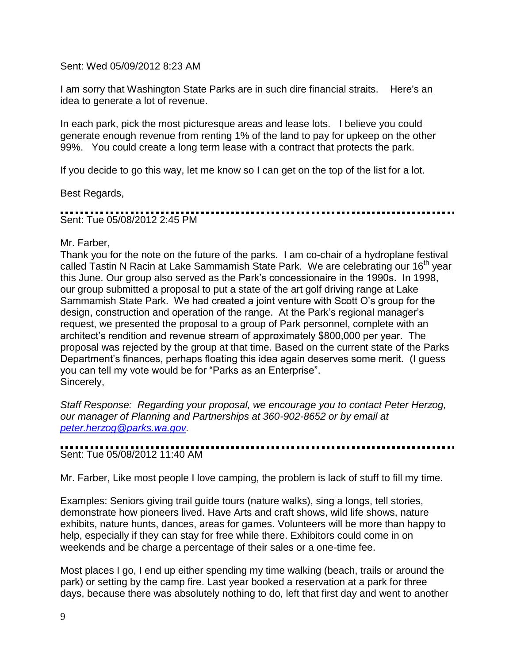Sent: Wed 05/09/2012 8:23 AM

I am sorry that Washington State Parks are in such dire financial straits. Here's an idea to generate a lot of revenue.

In each park, pick the most picturesque areas and lease lots. I believe you could generate enough revenue from renting 1% of the land to pay for upkeep on the other 99%. You could create a long term lease with a contract that protects the park.

If you decide to go this way, let me know so I can get on the top of the list for a lot.

Best Regards,

Sent: Tue 05/08/2012 2:45 PM

Mr. Farber,

Thank you for the note on the future of the parks. I am co-chair of a hydroplane festival called Tastin N Racin at Lake Sammamish State Park. We are celebrating our 16<sup>th</sup> year this June. Our group also served as the Park's concessionaire in the 1990s. In 1998, our group submitted a proposal to put a state of the art golf driving range at Lake Sammamish State Park. We had created a joint venture with Scott O's group for the design, construction and operation of the range. At the Park's regional manager's request, we presented the proposal to a group of Park personnel, complete with an architect's rendition and revenue stream of approximately \$800,000 per year. The proposal was rejected by the group at that time. Based on the current state of the Parks Department's finances, perhaps floating this idea again deserves some merit. (I guess you can tell my vote would be for "Parks as an Enterprise". Sincerely,

*Staff Response: Regarding your proposal, we encourage you to contact Peter Herzog, our manager of Planning and Partnerships at 360-902-8652 or by email at [peter.herzog@parks.wa.gov.](mailto:peter.herzog@parks.wa.gov)*

Sent: Tue 05/08/2012 11:40 AM

Mr. Farber, Like most people I love camping, the problem is lack of stuff to fill my time.

Examples: Seniors giving trail guide tours (nature walks), sing a longs, tell stories, demonstrate how pioneers lived. Have Arts and craft shows, wild life shows, nature exhibits, nature hunts, dances, areas for games. Volunteers will be more than happy to help, especially if they can stay for free while there. Exhibitors could come in on weekends and be charge a percentage of their sales or a one-time fee.

Most places I go, I end up either spending my time walking (beach, trails or around the park) or setting by the camp fire. Last year booked a reservation at a park for three days, because there was absolutely nothing to do, left that first day and went to another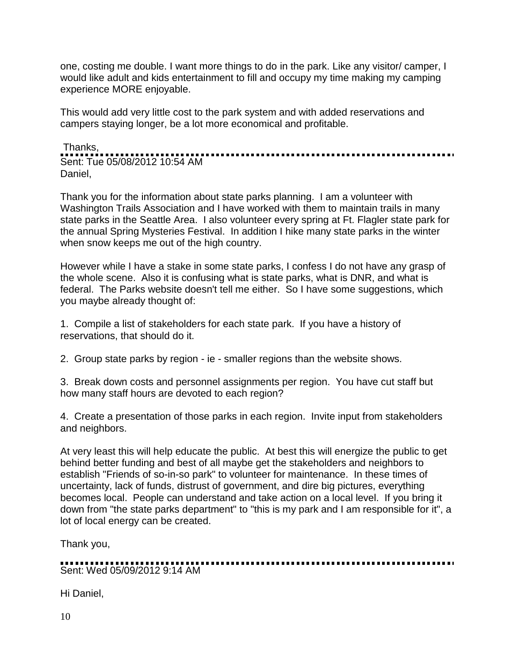one, costing me double. I want more things to do in the park. Like any visitor/ camper, I would like adult and kids entertainment to fill and occupy my time making my camping experience MORE enjoyable.

This would add very little cost to the park system and with added reservations and campers staying longer, be a lot more economical and profitable.

Thanks, Sent: Tue 05/08/2012 10:54 AM Daniel,

Thank you for the information about state parks planning. I am a volunteer with Washington Trails Association and I have worked with them to maintain trails in many state parks in the Seattle Area. I also volunteer every spring at Ft. Flagler state park for the annual Spring Mysteries Festival. In addition I hike many state parks in the winter when snow keeps me out of the high country.

However while I have a stake in some state parks, I confess I do not have any grasp of the whole scene. Also it is confusing what is state parks, what is DNR, and what is federal. The Parks website doesn't tell me either. So I have some suggestions, which you maybe already thought of:

1. Compile a list of stakeholders for each state park. If you have a history of reservations, that should do it.

2. Group state parks by region - ie - smaller regions than the website shows.

3. Break down costs and personnel assignments per region. You have cut staff but how many staff hours are devoted to each region?

4. Create a presentation of those parks in each region. Invite input from stakeholders and neighbors.

At very least this will help educate the public. At best this will energize the public to get behind better funding and best of all maybe get the stakeholders and neighbors to establish "Friends of so-in-so park" to volunteer for maintenance. In these times of uncertainty, lack of funds, distrust of government, and dire big pictures, everything becomes local. People can understand and take action on a local level. If you bring it down from "the state parks department" to "this is my park and I am responsible for it", a lot of local energy can be created.

Thank you,

Sent: Wed 05/09/2012 9:14 AM

Hi Daniel,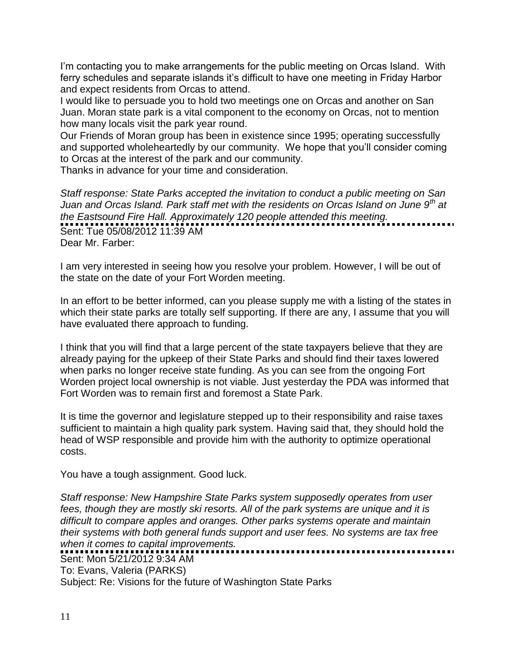I'm contacting you to make arrangements for the public meeting on Orcas Island. With ferry schedules and separate islands it's difficult to have one meeting in Friday Harbor and expect residents from Orcas to attend.

I would like to persuade you to hold two meetings one on Orcas and another on San Juan. Moran state park is a vital component to the economy on Orcas, not to mention how many locals visit the park year round.

Our Friends of Moran group has been in existence since 1995; operating successfully and supported wholeheartedly by our community. We hope that you'll consider coming to Orcas at the interest of the park and our community.

Thanks in advance for your time and consideration.

*Staff response: State Parks accepted the invitation to conduct a public meeting on San Juan and Orcas Island. Park staff met with the residents on Orcas Island on June 9th at the Eastsound Fire Hall. Approximately 120 people attended this meeting.*  Sent: Tue 05/08/2012 11:39 AM Dear Mr. Farber:

I am very interested in seeing how you resolve your problem. However, I will be out of the state on the date of your Fort Worden meeting.

In an effort to be better informed, can you please supply me with a listing of the states in which their state parks are totally self supporting. If there are any, I assume that you will have evaluated there approach to funding.

I think that you will find that a large percent of the state taxpayers believe that they are already paying for the upkeep of their State Parks and should find their taxes lowered when parks no longer receive state funding. As you can see from the ongoing Fort Worden project local ownership is not viable. Just yesterday the PDA was informed that Fort Worden was to remain first and foremost a State Park.

It is time the governor and legislature stepped up to their responsibility and raise taxes sufficient to maintain a high quality park system. Having said that, they should hold the head of WSP responsible and provide him with the authority to optimize operational costs.

You have a tough assignment. Good luck.

*Staff response: New Hampshire State Parks system supposedly operates from user fees, though they are mostly ski resorts. All of the park systems are unique and it is difficult to compare apples and oranges. Other parks systems operate and maintain their systems with both general funds support and user fees. No systems are tax free when it comes to capital improvements.*

Sent: Mon 5/21/2012 9:34 AM To: Evans, Valeria (PARKS) Subject: Re: Visions for the future of Washington State Parks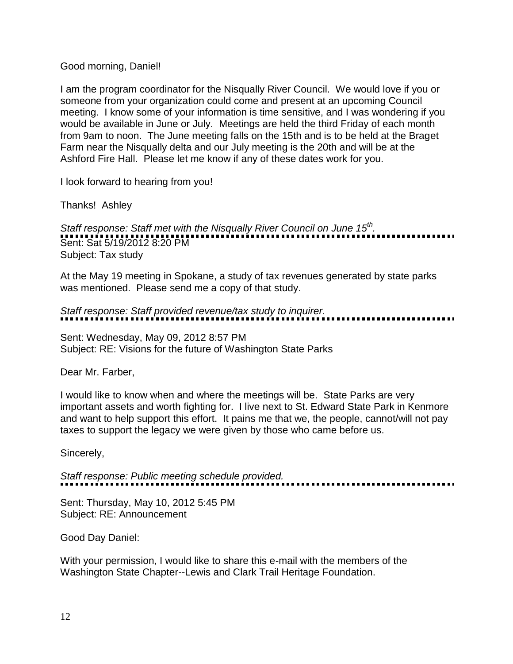### Good morning, Daniel!

I am the program coordinator for the Nisqually River Council. We would love if you or someone from your organization could come and present at an upcoming Council meeting. I know some of your information is time sensitive, and I was wondering if you would be available in June or July. Meetings are held the third Friday of each month from 9am to noon. The June meeting falls on the 15th and is to be held at the Braget Farm near the Nisqually delta and our July meeting is the 20th and will be at the Ashford Fire Hall. Please let me know if any of these dates work for you.

I look forward to hearing from you!

Thanks! Ashley

*Staff response: Staff met with the Nisqually River Council on June 15th .*  Sent: Sat 5/19/2012 8:20 PM Subject: Tax study

At the May 19 meeting in Spokane, a study of tax revenues generated by state parks was mentioned. Please send me a copy of that study.

*Staff response: Staff provided revenue/tax study to inquirer.*

Sent: Wednesday, May 09, 2012 8:57 PM Subject: RE: Visions for the future of Washington State Parks

Dear Mr. Farber,

I would like to know when and where the meetings will be. State Parks are very important assets and worth fighting for. I live next to St. Edward State Park in Kenmore and want to help support this effort. It pains me that we, the people, cannot/will not pay taxes to support the legacy we were given by those who came before us.

Sincerely,

*Staff response: Public meeting schedule provided.*

Sent: Thursday, May 10, 2012 5:45 PM Subject: RE: Announcement

Good Day Daniel:

With your permission, I would like to share this e-mail with the members of the Washington State Chapter--Lewis and Clark Trail Heritage Foundation.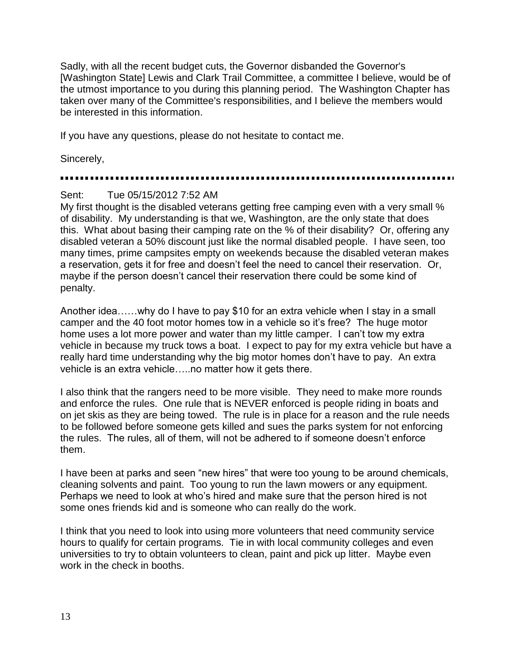Sadly, with all the recent budget cuts, the Governor disbanded the Governor's [Washington State] Lewis and Clark Trail Committee, a committee I believe, would be of the utmost importance to you during this planning period. The Washington Chapter has taken over many of the Committee's responsibilities, and I believe the members would be interested in this information.

If you have any questions, please do not hesitate to contact me.

Sincerely,

## Sent: Tue 05/15/2012 7:52 AM

My first thought is the disabled veterans getting free camping even with a very small % of disability. My understanding is that we, Washington, are the only state that does this. What about basing their camping rate on the % of their disability? Or, offering any disabled veteran a 50% discount just like the normal disabled people. I have seen, too many times, prime campsites empty on weekends because the disabled veteran makes a reservation, gets it for free and doesn't feel the need to cancel their reservation. Or, maybe if the person doesn't cancel their reservation there could be some kind of penalty.

Another idea……why do I have to pay \$10 for an extra vehicle when I stay in a small camper and the 40 foot motor homes tow in a vehicle so it's free? The huge motor home uses a lot more power and water than my little camper. I can't tow my extra vehicle in because my truck tows a boat. I expect to pay for my extra vehicle but have a really hard time understanding why the big motor homes don't have to pay. An extra vehicle is an extra vehicle…..no matter how it gets there.

I also think that the rangers need to be more visible. They need to make more rounds and enforce the rules. One rule that is NEVER enforced is people riding in boats and on jet skis as they are being towed. The rule is in place for a reason and the rule needs to be followed before someone gets killed and sues the parks system for not enforcing the rules. The rules, all of them, will not be adhered to if someone doesn't enforce them.

I have been at parks and seen "new hires" that were too young to be around chemicals, cleaning solvents and paint. Too young to run the lawn mowers or any equipment. Perhaps we need to look at who's hired and make sure that the person hired is not some ones friends kid and is someone who can really do the work.

I think that you need to look into using more volunteers that need community service hours to qualify for certain programs. Tie in with local community colleges and even universities to try to obtain volunteers to clean, paint and pick up litter. Maybe even work in the check in booths.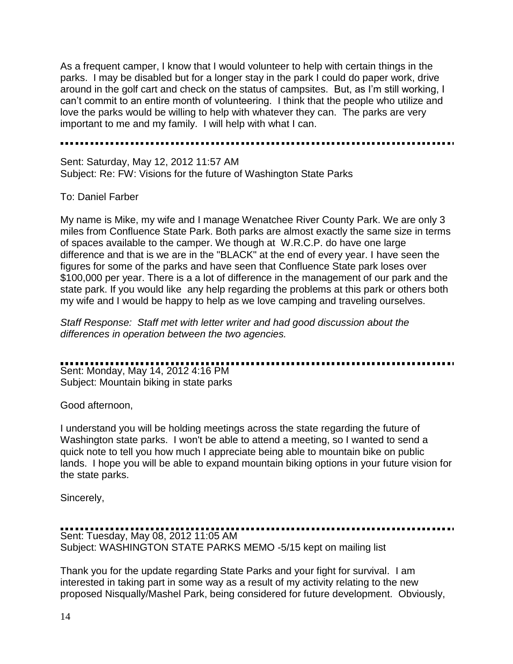As a frequent camper, I know that I would volunteer to help with certain things in the parks. I may be disabled but for a longer stay in the park I could do paper work, drive around in the golf cart and check on the status of campsites. But, as I'm still working, I can't commit to an entire month of volunteering. I think that the people who utilize and love the parks would be willing to help with whatever they can. The parks are very important to me and my family. I will help with what I can.

Sent: Saturday, May 12, 2012 11:57 AM Subject: Re: FW: Visions for the future of Washington State Parks

### To: Daniel Farber

My name is Mike, my wife and I manage Wenatchee River County Park. We are only 3 miles from Confluence State Park. Both parks are almost exactly the same size in terms of spaces available to the camper. We though at W.R.C.P. do have one large difference and that is we are in the "BLACK" at the end of every year. I have seen the figures for some of the parks and have seen that Confluence State park loses over \$100,000 per year. There is a a lot of difference in the management of our park and the state park. If you would like any help regarding the problems at this park or others both my wife and I would be happy to help as we love camping and traveling ourselves.

*Staff Response: Staff met with letter writer and had good discussion about the differences in operation between the two agencies.*

Sent: Monday, May 14, 2012 4:16 PM

Subject: Mountain biking in state parks

Good afternoon,

I understand you will be holding meetings across the state regarding the future of Washington state parks. I won't be able to attend a meeting, so I wanted to send a quick note to tell you how much I appreciate being able to mountain bike on public lands. I hope you will be able to expand mountain biking options in your future vision for the state parks.

Sincerely,

# Sent: Tuesday, May 08, 2012 11:05 AM

Subject: WASHINGTON STATE PARKS MEMO -5/15 kept on mailing list

Thank you for the update regarding State Parks and your fight for survival. I am interested in taking part in some way as a result of my activity relating to the new proposed Nisqually/Mashel Park, being considered for future development. Obviously,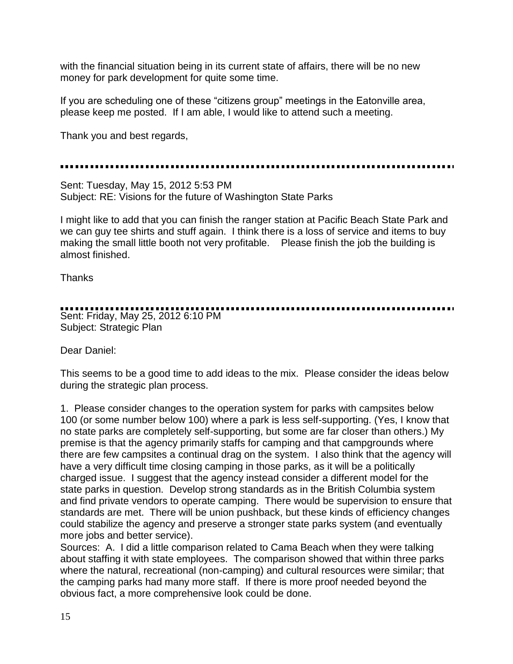with the financial situation being in its current state of affairs, there will be no new money for park development for quite some time.

If you are scheduling one of these "citizens group" meetings in the Eatonville area, please keep me posted. If I am able, I would like to attend such a meeting.

Thank you and best regards,

Sent: Tuesday, May 15, 2012 5:53 PM Subject: RE: Visions for the future of Washington State Parks

I might like to add that you can finish the ranger station at Pacific Beach State Park and we can guy tee shirts and stuff again. I think there is a loss of service and items to buy making the small little booth not very profitable. Please finish the job the building is almost finished.

**Thanks** 

### Sent: Friday, May 25, 2012 6:10 PM Subject: Strategic Plan

Dear Daniel:

This seems to be a good time to add ideas to the mix. Please consider the ideas below during the strategic plan process.

1. Please consider changes to the operation system for parks with campsites below 100 (or some number below 100) where a park is less self-supporting. (Yes, I know that no state parks are completely self-supporting, but some are far closer than others.) My premise is that the agency primarily staffs for camping and that campgrounds where there are few campsites a continual drag on the system. I also think that the agency will have a very difficult time closing camping in those parks, as it will be a politically charged issue. I suggest that the agency instead consider a different model for the state parks in question. Develop strong standards as in the British Columbia system and find private vendors to operate camping. There would be supervision to ensure that standards are met. There will be union pushback, but these kinds of efficiency changes could stabilize the agency and preserve a stronger state parks system (and eventually more jobs and better service).

Sources: A. I did a little comparison related to Cama Beach when they were talking about staffing it with state employees. The comparison showed that within three parks where the natural, recreational (non-camping) and cultural resources were similar; that the camping parks had many more staff. If there is more proof needed beyond the obvious fact, a more comprehensive look could be done.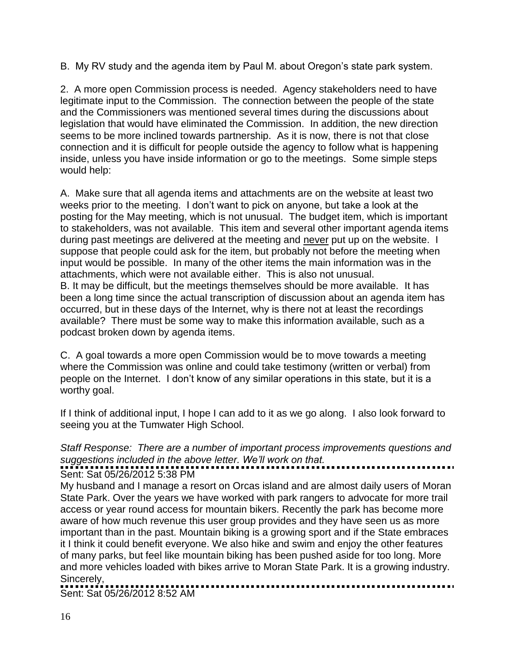B. My RV study and the agenda item by Paul M. about Oregon's state park system.

2. A more open Commission process is needed. Agency stakeholders need to have legitimate input to the Commission. The connection between the people of the state and the Commissioners was mentioned several times during the discussions about legislation that would have eliminated the Commission. In addition, the new direction seems to be more inclined towards partnership. As it is now, there is not that close connection and it is difficult for people outside the agency to follow what is happening inside, unless you have inside information or go to the meetings. Some simple steps would help:

A. Make sure that all agenda items and attachments are on the website at least two weeks prior to the meeting. I don't want to pick on anyone, but take a look at the posting for the May meeting, which is not unusual. The budget item, which is important to stakeholders, was not available. This item and several other important agenda items during past meetings are delivered at the meeting and never put up on the website. I suppose that people could ask for the item, but probably not before the meeting when input would be possible. In many of the other items the main information was in the attachments, which were not available either. This is also not unusual. B. It may be difficult, but the meetings themselves should be more available. It has been a long time since the actual transcription of discussion about an agenda item has occurred, but in these days of the Internet, why is there not at least the recordings available? There must be some way to make this information available, such as a podcast broken down by agenda items.

C. A goal towards a more open Commission would be to move towards a meeting where the Commission was online and could take testimony (written or verbal) from people on the Internet. I don't know of any similar operations in this state, but it is a worthy goal.

If I think of additional input, I hope I can add to it as we go along. I also look forward to seeing you at the Tumwater High School.

### *Staff Response: There are a number of important process improvements questions and suggestions included in the above letter. We'll work on that.*

## Sent: Sat 05/26/2012 5:38 PM

My husband and I manage a resort on Orcas island and are almost daily users of Moran State Park. Over the years we have worked with park rangers to advocate for more trail access or year round access for mountain bikers. Recently the park has become more aware of how much revenue this user group provides and they have seen us as more important than in the past. Mountain biking is a growing sport and if the State embraces it I think it could benefit everyone. We also hike and swim and enjoy the other features of many parks, but feel like mountain biking has been pushed aside for too long. More and more vehicles loaded with bikes arrive to Moran State Park. It is a growing industry. Sincerely, . . . . . . . . . . . . . . . . . . . .

Sent: Sat 05/26/2012 8:52 AM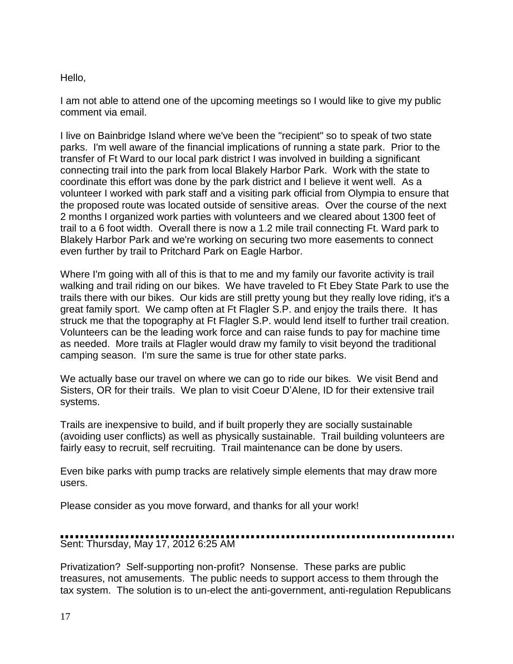### Hello,

I am not able to attend one of the upcoming meetings so I would like to give my public comment via email.

I live on Bainbridge Island where we've been the "recipient" so to speak of two state parks. I'm well aware of the financial implications of running a state park. Prior to the transfer of Ft Ward to our local park district I was involved in building a significant connecting trail into the park from local Blakely Harbor Park. Work with the state to coordinate this effort was done by the park district and I believe it went well. As a volunteer I worked with park staff and a visiting park official from Olympia to ensure that the proposed route was located outside of sensitive areas. Over the course of the next 2 months I organized work parties with volunteers and we cleared about 1300 feet of trail to a 6 foot width. Overall there is now a 1.2 mile trail connecting Ft. Ward park to Blakely Harbor Park and we're working on securing two more easements to connect even further by trail to Pritchard Park on Eagle Harbor.

Where I'm going with all of this is that to me and my family our favorite activity is trail walking and trail riding on our bikes. We have traveled to Ft Ebey State Park to use the trails there with our bikes. Our kids are still pretty young but they really love riding, it's a great family sport. We camp often at Ft Flagler S.P. and enjoy the trails there. It has struck me that the topography at Ft Flagler S.P. would lend itself to further trail creation. Volunteers can be the leading work force and can raise funds to pay for machine time as needed. More trails at Flagler would draw my family to visit beyond the traditional camping season. I'm sure the same is true for other state parks.

We actually base our travel on where we can go to ride our bikes. We visit Bend and Sisters, OR for their trails. We plan to visit Coeur D'Alene, ID for their extensive trail systems.

Trails are inexpensive to build, and if built properly they are socially sustainable (avoiding user conflicts) as well as physically sustainable. Trail building volunteers are fairly easy to recruit, self recruiting. Trail maintenance can be done by users.

Even bike parks with pump tracks are relatively simple elements that may draw more users.

Please consider as you move forward, and thanks for all your work!

# Sent: Thursday, May 17, 2012 6:25 AM

Privatization? Self-supporting non-profit? Nonsense. These parks are public treasures, not amusements. The public needs to support access to them through the tax system. The solution is to un-elect the anti-government, anti-regulation Republicans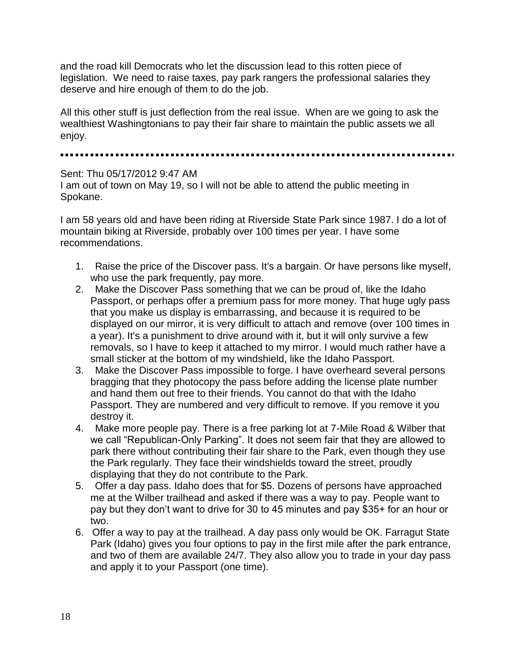and the road kill Democrats who let the discussion lead to this rotten piece of legislation. We need to raise taxes, pay park rangers the professional salaries they deserve and hire enough of them to do the job.

All this other stuff is just deflection from the real issue. When are we going to ask the wealthiest Washingtonians to pay their fair share to maintain the public assets we all enjoy.

### Sent: Thu 05/17/2012 9:47 AM

I am out of town on May 19, so I will not be able to attend the public meeting in Spokane.

I am 58 years old and have been riding at Riverside State Park since 1987. I do a lot of mountain biking at Riverside, probably over 100 times per year. I have some recommendations.

- 1. Raise the price of the Discover pass. It's a bargain. Or have persons like myself, who use the park frequently, pay more.
- 2. Make the Discover Pass something that we can be proud of, like the Idaho Passport, or perhaps offer a premium pass for more money. That huge ugly pass that you make us display is embarrassing, and because it is required to be displayed on our mirror, it is very difficult to attach and remove (over 100 times in a year). It's a punishment to drive around with it, but it will only survive a few removals, so I have to keep it attached to my mirror. I would much rather have a small sticker at the bottom of my windshield, like the Idaho Passport.
- 3. Make the Discover Pass impossible to forge. I have overheard several persons bragging that they photocopy the pass before adding the license plate number and hand them out free to their friends. You cannot do that with the Idaho Passport. They are numbered and very difficult to remove. If you remove it you destroy it.
- 4. Make more people pay. There is a free parking lot at 7-Mile Road & Wilber that we call "Republican-Only Parking". It does not seem fair that they are allowed to park there without contributing their fair share to the Park, even though they use the Park regularly. They face their windshields toward the street, proudly displaying that they do not contribute to the Park.
- 5. Offer a day pass. Idaho does that for \$5. Dozens of persons have approached me at the Wilber trailhead and asked if there was a way to pay. People want to pay but they don't want to drive for 30 to 45 minutes and pay \$35+ for an hour or two.
- 6. Offer a way to pay at the trailhead. A day pass only would be OK. Farragut State Park (Idaho) gives you four options to pay in the first mile after the park entrance, and two of them are available 24/7. They also allow you to trade in your day pass and apply it to your Passport (one time).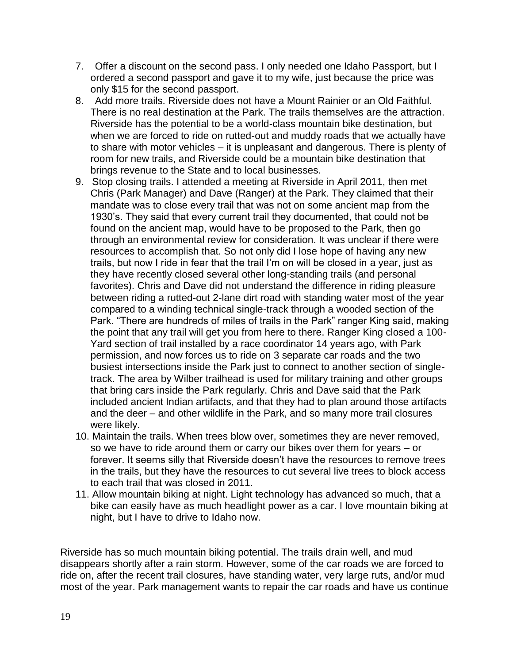- 7. Offer a discount on the second pass. I only needed one Idaho Passport, but I ordered a second passport and gave it to my wife, just because the price was only \$15 for the second passport.
- 8. Add more trails. Riverside does not have a Mount Rainier or an Old Faithful. There is no real destination at the Park. The trails themselves are the attraction. Riverside has the potential to be a world-class mountain bike destination, but when we are forced to ride on rutted-out and muddy roads that we actually have to share with motor vehicles – it is unpleasant and dangerous. There is plenty of room for new trails, and Riverside could be a mountain bike destination that brings revenue to the State and to local businesses.
- 9. Stop closing trails. I attended a meeting at Riverside in April 2011, then met Chris (Park Manager) and Dave (Ranger) at the Park. They claimed that their mandate was to close every trail that was not on some ancient map from the 1930's. They said that every current trail they documented, that could not be found on the ancient map, would have to be proposed to the Park, then go through an environmental review for consideration. It was unclear if there were resources to accomplish that. So not only did I lose hope of having any new trails, but now I ride in fear that the trail I'm on will be closed in a year, just as they have recently closed several other long-standing trails (and personal favorites). Chris and Dave did not understand the difference in riding pleasure between riding a rutted-out 2-lane dirt road with standing water most of the year compared to a winding technical single-track through a wooded section of the Park. "There are hundreds of miles of trails in the Park" ranger King said, making the point that any trail will get you from here to there. Ranger King closed a 100- Yard section of trail installed by a race coordinator 14 years ago, with Park permission, and now forces us to ride on 3 separate car roads and the two busiest intersections inside the Park just to connect to another section of singletrack. The area by Wilber trailhead is used for military training and other groups that bring cars inside the Park regularly. Chris and Dave said that the Park included ancient Indian artifacts, and that they had to plan around those artifacts and the deer – and other wildlife in the Park, and so many more trail closures were likely.
- 10. Maintain the trails. When trees blow over, sometimes they are never removed, so we have to ride around them or carry our bikes over them for years – or forever. It seems silly that Riverside doesn't have the resources to remove trees in the trails, but they have the resources to cut several live trees to block access to each trail that was closed in 2011.
- 11. Allow mountain biking at night. Light technology has advanced so much, that a bike can easily have as much headlight power as a car. I love mountain biking at night, but I have to drive to Idaho now.

Riverside has so much mountain biking potential. The trails drain well, and mud disappears shortly after a rain storm. However, some of the car roads we are forced to ride on, after the recent trail closures, have standing water, very large ruts, and/or mud most of the year. Park management wants to repair the car roads and have us continue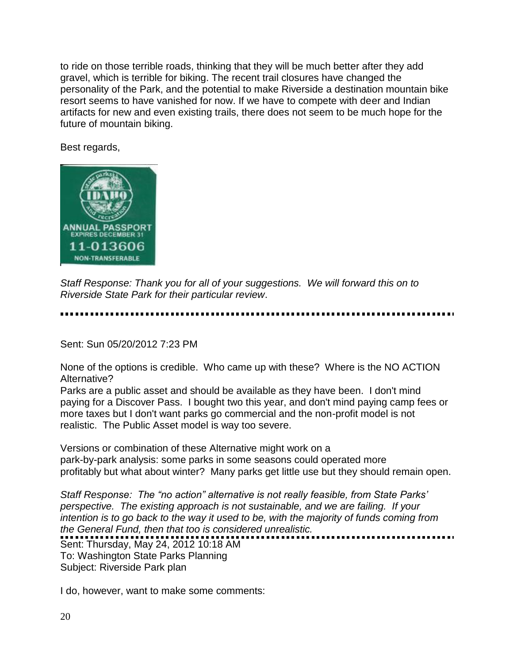to ride on those terrible roads, thinking that they will be much better after they add gravel, which is terrible for biking. The recent trail closures have changed the personality of the Park, and the potential to make Riverside a destination mountain bike resort seems to have vanished for now. If we have to compete with deer and Indian artifacts for new and even existing trails, there does not seem to be much hope for the future of mountain biking.

Best regards,



*Staff Response: Thank you for all of your suggestions. We will forward this on to Riverside State Park for their particular review*.

Sent: Sun 05/20/2012 7:23 PM

None of the options is credible. Who came up with these? Where is the NO ACTION Alternative?

Parks are a public asset and should be available as they have been. I don't mind paying for a Discover Pass. I bought two this year, and don't mind paying camp fees or more taxes but I don't want parks go commercial and the non-profit model is not realistic. The Public Asset model is way too severe.

Versions or combination of these Alternative might work on a park-by-park analysis: some parks in some seasons could operated more profitably but what about winter? Many parks get little use but they should remain open.

*Staff Response: The "no action" alternative is not really feasible, from State Parks' perspective. The existing approach is not sustainable, and we are failing. If your intention is to go back to the way it used to be, with the majority of funds coming from the General Fund, then that too is considered unrealistic.* 

Sent: Thursday, May 24, 2012 10:18 AM To: Washington State Parks Planning Subject: Riverside Park plan

I do, however, want to make some comments: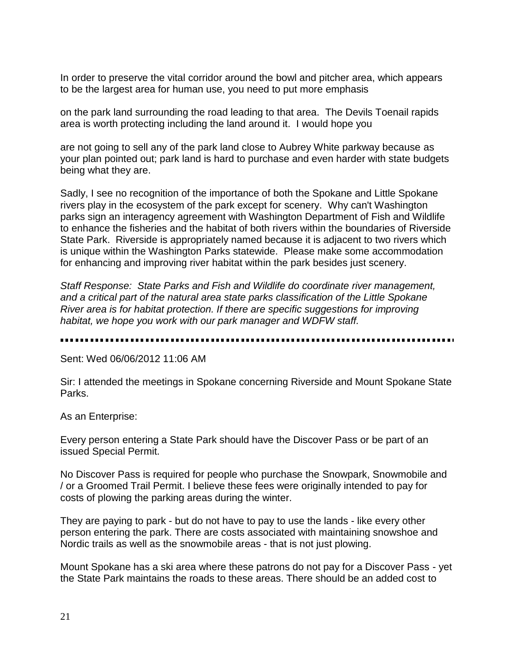In order to preserve the vital corridor around the bowl and pitcher area, which appears to be the largest area for human use, you need to put more emphasis

on the park land surrounding the road leading to that area. The Devils Toenail rapids area is worth protecting including the land around it. I would hope you

are not going to sell any of the park land close to Aubrey White parkway because as your plan pointed out; park land is hard to purchase and even harder with state budgets being what they are.

Sadly, I see no recognition of the importance of both the Spokane and Little Spokane rivers play in the ecosystem of the park except for scenery. Why can't Washington parks sign an interagency agreement with Washington Department of Fish and Wildlife to enhance the fisheries and the habitat of both rivers within the boundaries of Riverside State Park. Riverside is appropriately named because it is adjacent to two rivers which is unique within the Washington Parks statewide. Please make some accommodation for enhancing and improving river habitat within the park besides just scenery.

*Staff Response: State Parks and Fish and Wildlife do coordinate river management, and a critical part of the natural area state parks classification of the Little Spokane River area is for habitat protection. If there are specific suggestions for improving habitat, we hope you work with our park manager and WDFW staff.*

Sent: Wed 06/06/2012 11:06 AM

Sir: I attended the meetings in Spokane concerning Riverside and Mount Spokane State Parks.

As an Enterprise:

Every person entering a State Park should have the Discover Pass or be part of an issued Special Permit.

No Discover Pass is required for people who purchase the Snowpark, Snowmobile and / or a Groomed Trail Permit. I believe these fees were originally intended to pay for costs of plowing the parking areas during the winter.

They are paying to park - but do not have to pay to use the lands - like every other person entering the park. There are costs associated with maintaining snowshoe and Nordic trails as well as the snowmobile areas - that is not just plowing.

Mount Spokane has a ski area where these patrons do not pay for a Discover Pass - yet the State Park maintains the roads to these areas. There should be an added cost to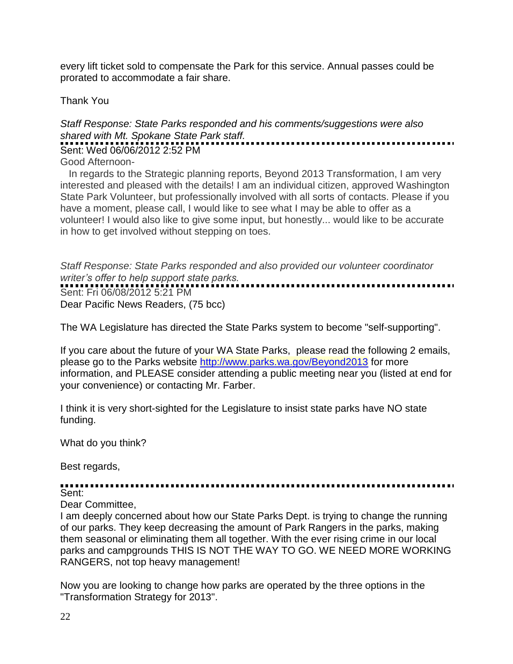every lift ticket sold to compensate the Park for this service. Annual passes could be prorated to accommodate a fair share.

Thank You

### *Staff Response: State Parks responded and his comments/suggestions were also shared with Mt. Spokane State Park staff.*

Sent: Wed 06/06/2012 2:52 PM

Good Afternoon-

 In regards to the Strategic planning reports, Beyond 2013 Transformation, I am very interested and pleased with the details! I am an individual citizen, approved Washington State Park Volunteer, but professionally involved with all sorts of contacts. Please if you have a moment, please call, I would like to see what I may be able to offer as a volunteer! I would also like to give some input, but honestly... would like to be accurate in how to get involved without stepping on toes.

*Staff Response: State Parks responded and also provided our volunteer coordinator writer's offer to help support state parks.* Sent: Fri 06/08/2012 5:21 PM Dear Pacific News Readers, (75 bcc)

The WA Legislature has directed the State Parks system to become "self-supporting".

If you care about the future of your WA State Parks, please read the following 2 emails, please go to the Parks website <http://www.parks.wa.gov/Beyond2013> for more information, and PLEASE consider attending a public meeting near you (listed at end for your convenience) or contacting Mr. Farber.

I think it is very short-sighted for the Legislature to insist state parks have NO state funding.

What do you think?

Best regards,

Sent:

Dear Committee,

I am deeply concerned about how our State Parks Dept. is trying to change the running of our parks. They keep decreasing the amount of Park Rangers in the parks, making them seasonal or eliminating them all together. With the ever rising crime in our local parks and campgrounds THIS IS NOT THE WAY TO GO. WE NEED MORE WORKING RANGERS, not top heavy management!

Now you are looking to change how parks are operated by the three options in the "Transformation Strategy for 2013".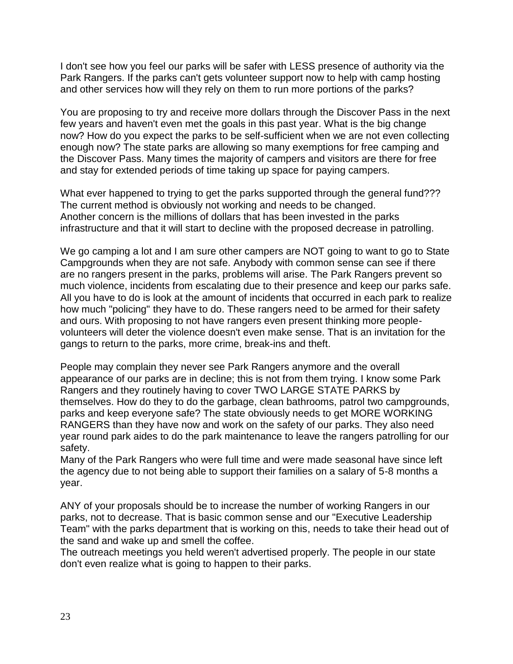I don't see how you feel our parks will be safer with LESS presence of authority via the Park Rangers. If the parks can't gets volunteer support now to help with camp hosting and other services how will they rely on them to run more portions of the parks?

You are proposing to try and receive more dollars through the Discover Pass in the next few years and haven't even met the goals in this past year. What is the big change now? How do you expect the parks to be self-sufficient when we are not even collecting enough now? The state parks are allowing so many exemptions for free camping and the Discover Pass. Many times the majority of campers and visitors are there for free and stay for extended periods of time taking up space for paying campers.

What ever happened to trying to get the parks supported through the general fund??? The current method is obviously not working and needs to be changed. Another concern is the millions of dollars that has been invested in the parks infrastructure and that it will start to decline with the proposed decrease in patrolling.

We go camping a lot and I am sure other campers are NOT going to want to go to State Campgrounds when they are not safe. Anybody with common sense can see if there are no rangers present in the parks, problems will arise. The Park Rangers prevent so much violence, incidents from escalating due to their presence and keep our parks safe. All you have to do is look at the amount of incidents that occurred in each park to realize how much "policing" they have to do. These rangers need to be armed for their safety and ours. With proposing to not have rangers even present thinking more peoplevolunteers will deter the violence doesn't even make sense. That is an invitation for the gangs to return to the parks, more crime, break-ins and theft.

People may complain they never see Park Rangers anymore and the overall appearance of our parks are in decline; this is not from them trying. I know some Park Rangers and they routinely having to cover TWO LARGE STATE PARKS by themselves. How do they to do the garbage, clean bathrooms, patrol two campgrounds, parks and keep everyone safe? The state obviously needs to get MORE WORKING RANGERS than they have now and work on the safety of our parks. They also need year round park aides to do the park maintenance to leave the rangers patrolling for our safety.

Many of the Park Rangers who were full time and were made seasonal have since left the agency due to not being able to support their families on a salary of 5-8 months a year.

ANY of your proposals should be to increase the number of working Rangers in our parks, not to decrease. That is basic common sense and our "Executive Leadership Team" with the parks department that is working on this, needs to take their head out of the sand and wake up and smell the coffee.

The outreach meetings you held weren't advertised properly. The people in our state don't even realize what is going to happen to their parks.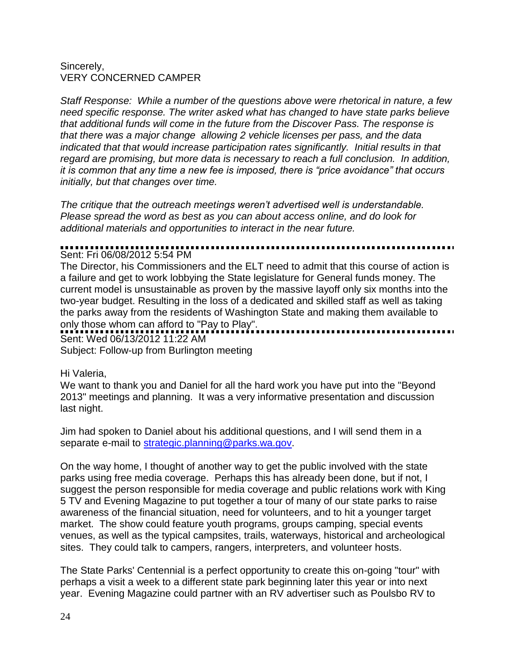### Sincerely, VERY CONCERNED CAMPER

*Staff Response: While a number of the questions above were rhetorical in nature, a few need specific response. The writer asked what has changed to have state parks believe that additional funds will come in the future from the Discover Pass. The response is that there was a major change allowing 2 vehicle licenses per pass, and the data indicated that that would increase participation rates significantly. Initial results in that regard are promising, but more data is necessary to reach a full conclusion. In addition, it is common that any time a new fee is imposed, there is "price avoidance" that occurs initially, but that changes over time.* 

*The critique that the outreach meetings weren't advertised well is understandable. Please spread the word as best as you can about access online, and do look for additional materials and opportunities to interact in the near future.*

### Sent: Fri 06/08/2012 5:54 PM

The Director, his Commissioners and the ELT need to admit that this course of action is a failure and get to work lobbying the State legislature for General funds money. The current model is unsustainable as proven by the massive layoff only six months into the two-year budget. Resulting in the loss of a dedicated and skilled staff as well as taking the parks away from the residents of Washington State and making them available to only those whom can afford to "Pay to Play".

Sent: Wed 06/13/2012 11:22 AM

Subject: Follow-up from Burlington meeting

### Hi Valeria,

We want to thank you and Daniel for all the hard work you have put into the "Beyond 2013" meetings and planning. It was a very informative presentation and discussion last night.

Jim had spoken to Daniel about his additional questions, and I will send them in a separate e-mail to [strategic.planning@parks.wa.gov.](mailto:strategic.planning@parks.wa.gov)

On the way home, I thought of another way to get the public involved with the state parks using free media coverage. Perhaps this has already been done, but if not, I suggest the person responsible for media coverage and public relations work with King 5 TV and Evening Magazine to put together a tour of many of our state parks to raise awareness of the financial situation, need for volunteers, and to hit a younger target market. The show could feature youth programs, groups camping, special events venues, as well as the typical campsites, trails, waterways, historical and archeological sites. They could talk to campers, rangers, interpreters, and volunteer hosts.

The State Parks' Centennial is a perfect opportunity to create this on-going "tour" with perhaps a visit a week to a different state park beginning later this year or into next year. Evening Magazine could partner with an RV advertiser such as Poulsbo RV to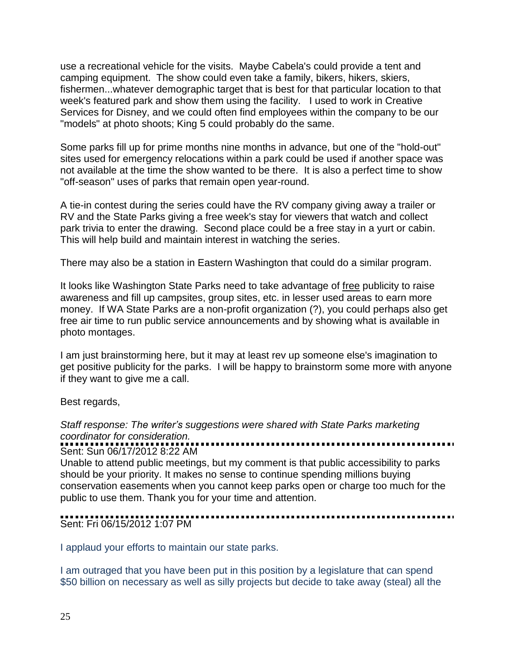use a recreational vehicle for the visits. Maybe Cabela's could provide a tent and camping equipment. The show could even take a family, bikers, hikers, skiers, fishermen...whatever demographic target that is best for that particular location to that week's featured park and show them using the facility. I used to work in Creative Services for Disney, and we could often find employees within the company to be our "models" at photo shoots; King 5 could probably do the same.

Some parks fill up for prime months nine months in advance, but one of the "hold-out" sites used for emergency relocations within a park could be used if another space was not available at the time the show wanted to be there. It is also a perfect time to show "off-season" uses of parks that remain open year-round.

A tie-in contest during the series could have the RV company giving away a trailer or RV and the State Parks giving a free week's stay for viewers that watch and collect park trivia to enter the drawing. Second place could be a free stay in a yurt or cabin. This will help build and maintain interest in watching the series.

There may also be a station in Eastern Washington that could do a similar program.

It looks like Washington State Parks need to take advantage of free publicity to raise awareness and fill up campsites, group sites, etc. in lesser used areas to earn more money. If WA State Parks are a non-profit organization (?), you could perhaps also get free air time to run public service announcements and by showing what is available in photo montages.

I am just brainstorming here, but it may at least rev up someone else's imagination to get positive publicity for the parks. I will be happy to brainstorm some more with anyone if they want to give me a call.

Best regards,

### *Staff response: The writer's suggestions were shared with State Parks marketing coordinator for consideration.*

### Sent: Sun 06/17/2012 8:22 AM

Unable to attend public meetings, but my comment is that public accessibility to parks should be your priority. It makes no sense to continue spending millions buying conservation easements when you cannot keep parks open or charge too much for the public to use them. Thank you for your time and attention.

### Sent: Fri 06/15/2012 1:07 PM

I applaud your efforts to maintain our state parks.

I am outraged that you have been put in this position by a legislature that can spend \$50 billion on necessary as well as silly projects but decide to take away (steal) all the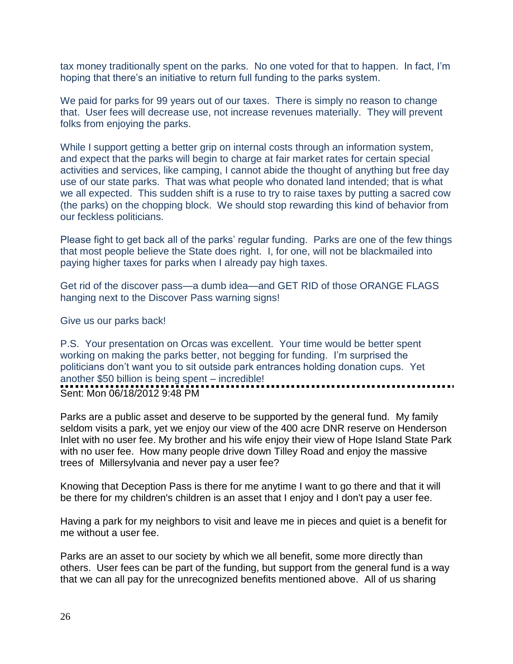tax money traditionally spent on the parks. No one voted for that to happen. In fact, I'm hoping that there's an initiative to return full funding to the parks system.

We paid for parks for 99 years out of our taxes. There is simply no reason to change that. User fees will decrease use, not increase revenues materially. They will prevent folks from enjoying the parks.

While I support getting a better grip on internal costs through an information system, and expect that the parks will begin to charge at fair market rates for certain special activities and services, like camping, I cannot abide the thought of anything but free day use of our state parks. That was what people who donated land intended; that is what we all expected. This sudden shift is a ruse to try to raise taxes by putting a sacred cow (the parks) on the chopping block. We should stop rewarding this kind of behavior from our feckless politicians.

Please fight to get back all of the parks' regular funding. Parks are one of the few things that most people believe the State does right. I, for one, will not be blackmailed into paying higher taxes for parks when I already pay high taxes.

Get rid of the discover pass—a dumb idea—and GET RID of those ORANGE FLAGS hanging next to the Discover Pass warning signs!

Give us our parks back!

P.S. Your presentation on Orcas was excellent. Your time would be better spent working on making the parks better, not begging for funding. I'm surprised the politicians don't want you to sit outside park entrances holding donation cups. Yet another \$50 billion is being spent – incredible! Sent: Mon 06/18/2012 9:48 PM

Parks are a public asset and deserve to be supported by the general fund. My family seldom visits a park, yet we enjoy our view of the 400 acre DNR reserve on Henderson Inlet with no user fee. My brother and his wife enjoy their view of Hope Island State Park with no user fee. How many people drive down Tilley Road and enjoy the massive trees of Millersylvania and never pay a user fee?

Knowing that Deception Pass is there for me anytime I want to go there and that it will be there for my children's children is an asset that I enjoy and I don't pay a user fee.

Having a park for my neighbors to visit and leave me in pieces and quiet is a benefit for me without a user fee.

Parks are an asset to our society by which we all benefit, some more directly than others. User fees can be part of the funding, but support from the general fund is a way that we can all pay for the unrecognized benefits mentioned above. All of us sharing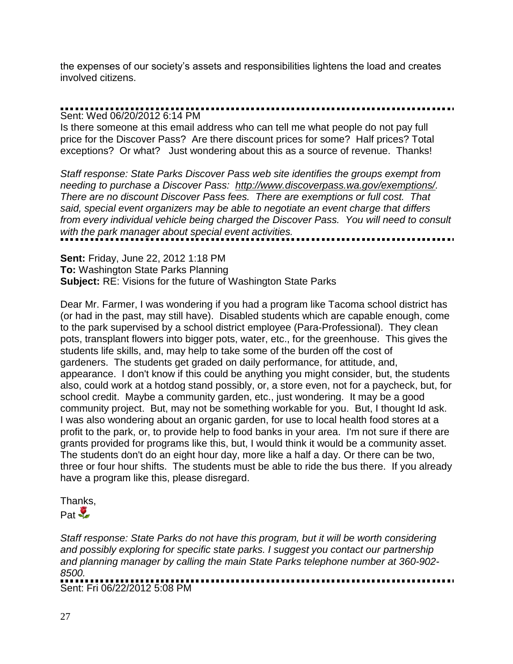the expenses of our society's assets and responsibilities lightens the load and creates involved citizens.

## Sent: Wed 06/20/2012 6:14 PM

Is there someone at this email address who can tell me what people do not pay full price for the Discover Pass? Are there discount prices for some? Half prices? Total exceptions? Or what? Just wondering about this as a source of revenue. Thanks!

*Staff response: State Parks Discover Pass web site identifies the groups exempt from needing to purchase a Discover Pass: [http://www.discoverpass.wa.gov/exemptions/.](http://www.discoverpass.wa.gov/exemptions/) There are no discount Discover Pass fees. There are exemptions or full cost. That said, special event organizers may be able to negotiate an event charge that differs from every individual vehicle being charged the Discover Pass. You will need to consult with the park manager about special event activities.*

**Sent:** Friday, June 22, 2012 1:18 PM **To:** Washington State Parks Planning **Subject:** RE: Visions for the future of Washington State Parks

Dear Mr. Farmer, I was wondering if you had a program like Tacoma school district has (or had in the past, may still have). Disabled students which are capable enough, come to the park supervised by a school district employee (Para-Professional). They clean pots, transplant flowers into bigger pots, water, etc., for the greenhouse. This gives the students life skills, and, may help to take some of the burden off the cost of gardeners. The students get graded on daily performance, for attitude, and, appearance. I don't know if this could be anything you might consider, but, the students also, could work at a hotdog stand possibly, or, a store even, not for a paycheck, but, for school credit. Maybe a community garden, etc., just wondering. It may be a good community project. But, may not be something workable for you. But, I thought Id ask. I was also wondering about an organic garden, for use to local health food stores at a profit to the park, or, to provide help to food banks in your area. I'm not sure if there are grants provided for programs like this, but, I would think it would be a community asset. The students don't do an eight hour day, more like a half a day. Or there can be two, three or four hour shifts. The students must be able to ride the bus there. If you already have a program like this, please disregard.

Thanks,  $Part \frac{1}{2}$ 

*Staff response: State Parks do not have this program, but it will be worth considering and possibly exploring for specific state parks. I suggest you contact our partnership and planning manager by calling the main State Parks telephone number at 360-902- 8500.* Sent: Fri 06/22/2012 5:08 PM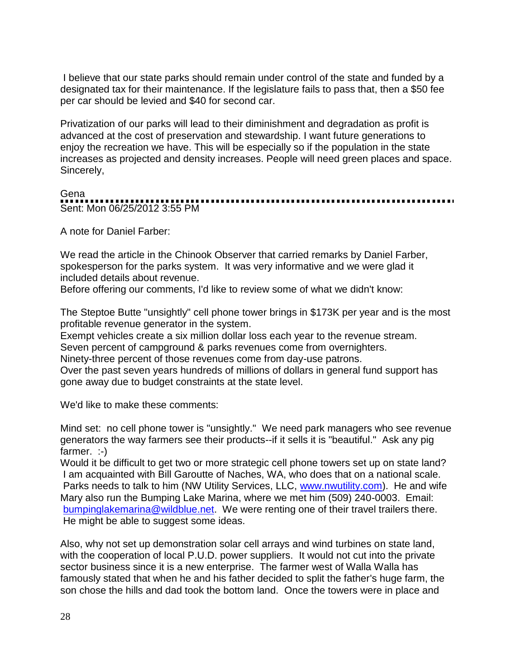I believe that our state parks should remain under control of the state and funded by a designated tax for their maintenance. If the legislature fails to pass that, then a \$50 fee per car should be levied and \$40 for second car.

Privatization of our parks will lead to their diminishment and degradation as profit is advanced at the cost of preservation and stewardship. I want future generations to enjoy the recreation we have. This will be especially so if the population in the state increases as projected and density increases. People will need green places and space. Sincerely,

### Gena

Sent: Mon 06/25/2012 3:55 PM

A note for Daniel Farber:

We read the article in the Chinook Observer that carried remarks by Daniel Farber, spokesperson for the parks system. It was very informative and we were glad it included details about revenue.

Before offering our comments, I'd like to review some of what we didn't know:

The Steptoe Butte "unsightly" cell phone tower brings in \$173K per year and is the most profitable revenue generator in the system.

Exempt vehicles create a six million dollar loss each year to the revenue stream.

Seven percent of campground & parks revenues come from overnighters.

Ninety-three percent of those revenues come from day-use patrons.

Over the past seven years hundreds of millions of dollars in general fund support has gone away due to budget constraints at the state level.

We'd like to make these comments:

Mind set: no cell phone tower is "unsightly." We need park managers who see revenue generators the way farmers see their products--if it sells it is "beautiful." Ask any pig farmer. :-)

Would it be difficult to get two or more strategic cell phone towers set up on state land? I am acquainted with Bill Garoutte of Naches, WA, who does that on a national scale. Parks needs to talk to him (NW Utility Services, LLC, [www.nwutility.com\)](http://www.nwutility.com/). He and wife Mary also run the Bumping Lake Marina, where we met him (509) 240-0003. Email: [bumpinglakemarina@wildblue.net.](mailto:bumpinglakemarina@wildblue.net) We were renting one of their travel trailers there. He might be able to suggest some ideas.

Also, why not set up demonstration solar cell arrays and wind turbines on state land, with the cooperation of local P.U.D. power suppliers. It would not cut into the private sector business since it is a new enterprise. The farmer west of Walla Walla has famously stated that when he and his father decided to split the father's huge farm, the son chose the hills and dad took the bottom land. Once the towers were in place and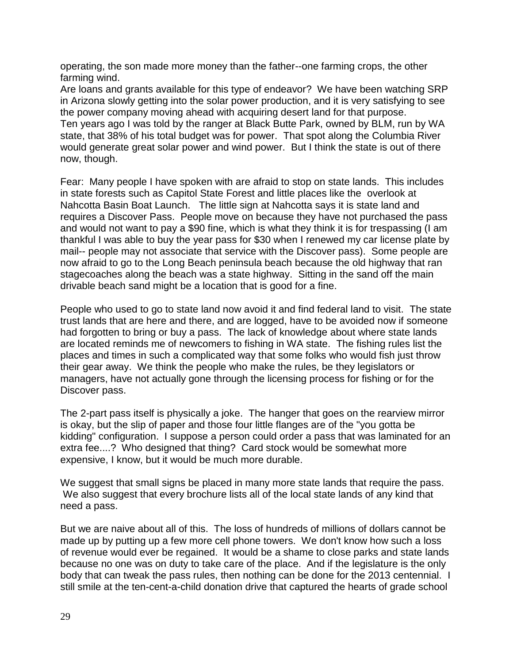operating, the son made more money than the father--one farming crops, the other farming wind.

Are loans and grants available for this type of endeavor? We have been watching SRP in Arizona slowly getting into the solar power production, and it is very satisfying to see the power company moving ahead with acquiring desert land for that purpose. Ten years ago I was told by the ranger at Black Butte Park, owned by BLM, run by WA state, that 38% of his total budget was for power. That spot along the Columbia River would generate great solar power and wind power. But I think the state is out of there now, though.

Fear: Many people I have spoken with are afraid to stop on state lands. This includes in state forests such as Capitol State Forest and little places like the overlook at Nahcotta Basin Boat Launch. The little sign at Nahcotta says it is state land and requires a Discover Pass. People move on because they have not purchased the pass and would not want to pay a \$90 fine, which is what they think it is for trespassing (I am thankful I was able to buy the year pass for \$30 when I renewed my car license plate by mail-- people may not associate that service with the Discover pass). Some people are now afraid to go to the Long Beach peninsula beach because the old highway that ran stagecoaches along the beach was a state highway. Sitting in the sand off the main drivable beach sand might be a location that is good for a fine.

People who used to go to state land now avoid it and find federal land to visit. The state trust lands that are here and there, and are logged, have to be avoided now if someone had forgotten to bring or buy a pass. The lack of knowledge about where state lands are located reminds me of newcomers to fishing in WA state. The fishing rules list the places and times in such a complicated way that some folks who would fish just throw their gear away. We think the people who make the rules, be they legislators or managers, have not actually gone through the licensing process for fishing or for the Discover pass.

The 2-part pass itself is physically a joke. The hanger that goes on the rearview mirror is okay, but the slip of paper and those four little flanges are of the "you gotta be kidding" configuration. I suppose a person could order a pass that was laminated for an extra fee....? Who designed that thing? Card stock would be somewhat more expensive, I know, but it would be much more durable.

We suggest that small signs be placed in many more state lands that require the pass. We also suggest that every brochure lists all of the local state lands of any kind that need a pass.

But we are naive about all of this. The loss of hundreds of millions of dollars cannot be made up by putting up a few more cell phone towers. We don't know how such a loss of revenue would ever be regained. It would be a shame to close parks and state lands because no one was on duty to take care of the place. And if the legislature is the only body that can tweak the pass rules, then nothing can be done for the 2013 centennial. I still smile at the ten-cent-a-child donation drive that captured the hearts of grade school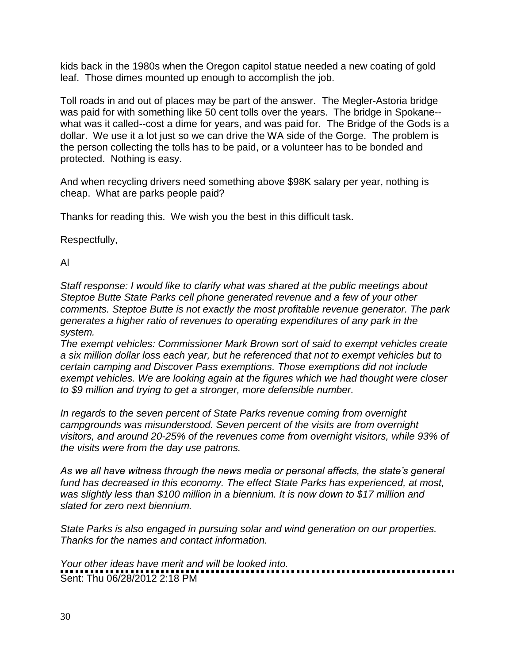kids back in the 1980s when the Oregon capitol statue needed a new coating of gold leaf. Those dimes mounted up enough to accomplish the job.

Toll roads in and out of places may be part of the answer. The Megler-Astoria bridge was paid for with something like 50 cent tolls over the years. The bridge in Spokane- what was it called--cost a dime for years, and was paid for. The Bridge of the Gods is a dollar. We use it a lot just so we can drive the WA side of the Gorge. The problem is the person collecting the tolls has to be paid, or a volunteer has to be bonded and protected. Nothing is easy.

And when recycling drivers need something above \$98K salary per year, nothing is cheap. What are parks people paid?

Thanks for reading this. We wish you the best in this difficult task.

Respectfully,

Al

*Staff response: I would like to clarify what was shared at the public meetings about Steptoe Butte State Parks cell phone generated revenue and a few of your other comments. Steptoe Butte is not exactly the most profitable revenue generator. The park generates a higher ratio of revenues to operating expenditures of any park in the system.* 

*The exempt vehicles: Commissioner Mark Brown sort of said to exempt vehicles create a six million dollar loss each year, but he referenced that not to exempt vehicles but to certain camping and Discover Pass exemptions. Those exemptions did not include exempt vehicles. We are looking again at the figures which we had thought were closer to \$9 million and trying to get a stronger, more defensible number.* 

*In regards to the seven percent of State Parks revenue coming from overnight campgrounds was misunderstood. Seven percent of the visits are from overnight visitors, and around 20-25% of the revenues come from overnight visitors, while 93% of the visits were from the day use patrons.* 

*As we all have witness through the news media or personal affects, the state's general fund has decreased in this economy. The effect State Parks has experienced, at most, was slightly less than \$100 million in a biennium. It is now down to \$17 million and slated for zero next biennium.* 

*State Parks is also engaged in pursuing solar and wind generation on our properties. Thanks for the names and contact information.* 

*Your other ideas have merit and will be looked into.*  Sent: Thu 06/28/2012 2:18 PM